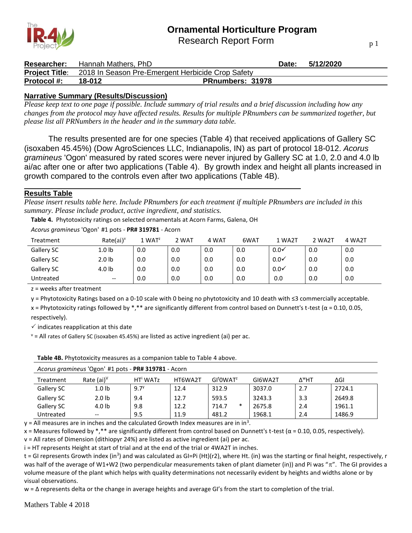Research Report Form



| <b>Researcher:</b>    | Hannah Mathers. PhD |                                                   | Date: | 5/12/2020 |  |
|-----------------------|---------------------|---------------------------------------------------|-------|-----------|--|
| <b>Project Title:</b> |                     | 2018 In Season Pre-Emergent Herbicide Crop Safety |       |           |  |
| <b>Protocol #:</b>    | 18-012              | <b>PRnumbers: 31978</b>                           |       |           |  |

### **Narrative Summary (Results/Discussion)**

*Please keep text to one page if possible. Include summary of trial results and a brief discussion including how any changes from the protocol may have affected results. Results for multiple PRnumbers can be summarized together, but please list all PRNumbers in the header and in the summary data table.*

The results presented are for one species (Table 4) that received applications of Gallery SC (isoxaben 45.45%) (Dow AgroSciences LLC, Indianapolis, IN) as part of protocol 18-012. *Acorus gramineus* 'Ogon' measured by rated scores were never injured by Gallery SC at 1.0, 2.0 and 4.0 lb ai/ac after one or after two applications (Table 4). By growth index and height all plants increased in growth compared to the controls even after two applications (Table 4B).

### **Results Table**

*Please insert results table here. Include PRnumbers for each treatment if multiple PRnumbers are included in this summary. Please include product, active ingredient, and statistics.*

**Table 4.** Phytotoxicity ratings on selected ornamentals at Acorn Farms, Galena, OH

| $\tilde{\phantom{a}}$ | $\tilde{\phantom{a}}$    |                    |       |       |      |                  |        |        |
|-----------------------|--------------------------|--------------------|-------|-------|------|------------------|--------|--------|
| Treatment             | $Rate(ai)^v$             | 1 WAT <sup>z</sup> | 2 WAT | 4 WAT | 6WAT | 1 WA2T           | 2 WA2T | 4 WA2T |
| Gallery SC            | 1.0 lb                   | 0.0                | 0.0   | 0.0   | 0.0  | $0.0\checkmark$  | 0.0    | 0.0    |
| Gallery SC            | 2.0 <sub>lb</sub>        | 0.0                | 0.0   | 0.0   | 0.0  | 0.0 <sub>Y</sub> | 0.0    | 0.0    |
| Gallery SC            | 4.0 lb                   | 0.0                | 0.0   | 0.0   | 0.0  | 0.0 <sub>Y</sub> | 0.0    | 0.0    |
| Untreated             | $\overline{\phantom{m}}$ | 0.0                | 0.0   | 0.0   | 0.0  | 0.0              | 0.0    | 0.0    |

*Acorus gramineus* 'Ogon' #1 pots - **PR# 319781** - Acorn

z = weeks after treatment

y = Phytotoxicity Ratings based on a 0-10 scale with 0 being no phytotoxicity and 10 death with ≤3 commercially acceptable.

x = Phytotoxicity ratings followed by \*,\*\* are significantly different from control based on Dunnett's t-test ( $\alpha$  = 0.10, 0.05, respectively).

 $\checkmark$  indicates reapplication at this date

 $v =$  All rates of Gallery SC (isoxaben 45.45%) are listed as active ingredient (ai) per ac.

**Table 4B.** Phytotoxicity measures as a companion table to Table 4 above.

|            | $A\cup B$ and $C\cup B$ and $C\cup B$ and $C\cup B$ and $C\cup B$ and $C\cup B$ and $D\cup B$ and $D\cup B$ and $D\cup B$ are $D\cup B$ and $D\cup B$ and $D\cup B$ and $D\cup B$ and $D\cup B$ and $D\cup B$ and $D\cup B$ and $D\cup B$ and $D\cup B$ and $D\cup B$ are $D\cup B$ and |                      |         |                                   |         |                   |        |  |
|------------|-----------------------------------------------------------------------------------------------------------------------------------------------------------------------------------------------------------------------------------------------------------------------------------------|----------------------|---------|-----------------------------------|---------|-------------------|--------|--|
| Treatment  | Rate $(ai)^{\vee}$                                                                                                                                                                                                                                                                      | HT <sup>i</sup> WATz | HT6WA2T | GI <sup>t</sup> OWAT <sup>z</sup> | GI6WA2T | Δ <sup>w</sup> HT | ΔGΙ    |  |
| Gallery SC | 1.0 <sub>1b</sub>                                                                                                                                                                                                                                                                       | $9.7^{\gamma}$       | 12.4    | 312.9                             | 3037.0  | 2.7               | 2724.1 |  |
| Gallery SC | 2.0 <sub>1b</sub>                                                                                                                                                                                                                                                                       | 9.4                  | 12.7    | 593.5                             | 3243.3  | 3.3               | 2649.8 |  |
| Gallery SC | 4.0 lb                                                                                                                                                                                                                                                                                  | 9.8                  | 12.2    | $\ast$<br>714.7                   | 2675.8  | 2.4               | 1961.1 |  |
| Untreated  | $- -$                                                                                                                                                                                                                                                                                   | 9.5                  | 11.9    | 481.2                             | 1968.1  | 2.4               | 1486.9 |  |

*Acorus gramineus* 'Ogon' #1 pots - **PR# 319781** - Acorn

 $y$  = All measures are in inches and the calculated Growth Index measures are in in<sup>3</sup>.

x = Measures followed by \*,\*\* are significantly different from control based on Dunnett's t-test ( $\alpha$  = 0.10, 0.05, respectively).

v = All rates of Dimension (dithiopyr 24%) are listed as active ingredient (ai) per ac.

i = HT represents Height at start of trial and at the end of the trial or 4WA2T in inches.

t = GI represents Growth index (in<sup>3</sup>) and was calculated as GI=Pi (Ht)(r2), where Ht. (in) was the starting or final height, respectively, r was half of the average of W1+W2 (two perpendicular measurements taken of plant diameter (in)) and Pi was " $\pi$ ". The GI provides a volume measure of the plant which helps with quality determinations not necessarily evident by heights and widths alone or by visual observations.

w = ∆ represents delta or the change in average heights and average GI's from the start to completion of the trial.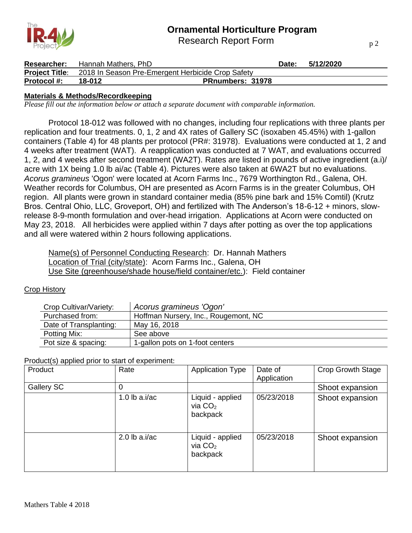Research Report Form



| <b>Researcher:</b> | Hannah Mathers, PhD |                                                                         | Date: | 5/12/2020 |  |
|--------------------|---------------------|-------------------------------------------------------------------------|-------|-----------|--|
|                    |                     | <b>Project Title:</b> 2018 In Season Pre-Emergent Herbicide Crop Safety |       |           |  |
| <b>Protocol #:</b> | 18-012              | <b>PRnumbers: 31978</b>                                                 |       |           |  |

### **Materials & Methods/Recordkeeping**

*Please fill out the information below or attach a separate document with comparable information.*

Protocol 18-012 was followed with no changes, including four replications with three plants per replication and four treatments. 0, 1, 2 and 4X rates of Gallery SC (isoxaben 45.45%) with 1-gallon containers (Table 4) for 48 plants per protocol (PR#: 31978). Evaluations were conducted at 1, 2 and 4 weeks after treatment (WAT). A reapplication was conducted at 7 WAT, and evaluations occurred 1, 2, and 4 weeks after second treatment (WA2T). Rates are listed in pounds of active ingredient (a.i)/ acre with 1X being 1.0 lb ai/ac (Table 4). Pictures were also taken at 6WA2T but no evaluations. *Acorus gramineus* 'Ogon' were located at Acorn Farms Inc., 7679 Worthington Rd., Galena, OH. Weather records for Columbus, OH are presented as Acorn Farms is in the greater Columbus, OH region. All plants were grown in standard container media (85% pine bark and 15% Comtil) (Krutz Bros. Central Ohio, LLC, Groveport, OH) and fertilized with The Anderson's 18-6-12 + minors, slowrelease 8-9-month formulation and over-head irrigation. Applications at Acorn were conducted on May 23, 2018. All herbicides were applied within 7 days after potting as over the top applications and all were watered within 2 hours following applications.

Name(s) of Personnel Conducting Research: Dr. Hannah Mathers Location of Trial (city/state): Acorn Farms Inc., Galena, OH Use Site (greenhouse/shade house/field container/etc.): Field container

Crop History

| Crop Cultivar/Variety: | Acorus gramineus 'Ogon'              |
|------------------------|--------------------------------------|
| Purchased from:        | Hoffman Nursery, Inc., Rougemont, NC |
| Date of Transplanting: | May 16, 2018                         |
| Potting Mix:           | See above                            |
| Pot size & spacing:    | 1-gallon pots on 1-foot centers      |

Product(s) applied prior to start of experiment:

| Product    | Rate            | <b>Application Type</b>                   | Date of<br>Application | <b>Crop Growth Stage</b> |
|------------|-----------------|-------------------------------------------|------------------------|--------------------------|
| Gallery SC | 0               |                                           |                        | Shoot expansion          |
|            | 1.0 $lb$ a.i/ac | Liquid - applied<br>via $CO2$<br>backpack | 05/23/2018             | Shoot expansion          |
|            | 2.0 lb $a.i/ac$ | Liquid - applied<br>via $CO2$<br>backpack | 05/23/2018             | Shoot expansion          |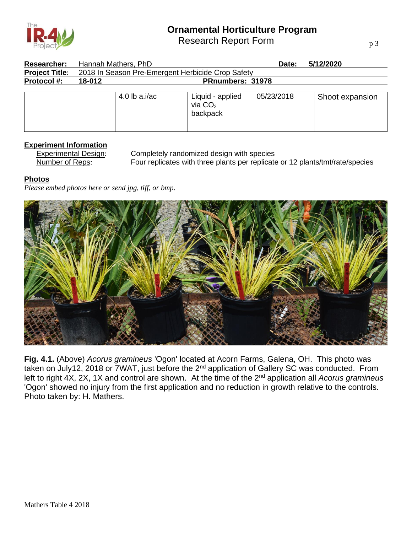

Research Report Form

p 3

| <b>Researcher:</b>    | Hannah Mathers, PhD                               |                                           | Date:      | 5/12/2020       |
|-----------------------|---------------------------------------------------|-------------------------------------------|------------|-----------------|
| <b>Project Title:</b> | 2018 In Season Pre-Emergent Herbicide Crop Safety |                                           |            |                 |
| <b>Protocol #:</b>    | 18-012                                            | <b>PRnumbers: 31978</b>                   |            |                 |
|                       | 4.0 lb $a.i/ac$                                   | Liquid - applied<br>via $CO2$<br>backpack | 05/23/2018 | Shoot expansion |

### **Experiment Information**

Experimental Design: Completely randomized design with species Number of Reps: Four replicates with three plants per replicate or 12 plants/tmt/rate/species

#### **Photos**

*Please embed photos here or send jpg, tiff, or bmp.*



**Fig. 4.1.** (Above) *Acorus gramineus* 'Ogon' located at Acorn Farms, Galena, OH. This photo was taken on July12, 2018 or 7WAT, just before the 2nd application of Gallery SC was conducted. From left to right 4X, 2X, 1X and control are shown. At the time of the 2nd application all *Acorus gramineus*  'Ogon' showed no injury from the first application and no reduction in growth relative to the controls. Photo taken by: H. Mathers.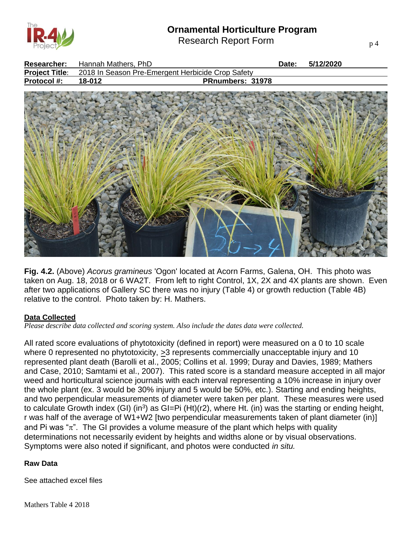

Research Report Form

| Researcher:           | Hannah Mathers, PhD                               |                  | Date: | 5/12/2020 |
|-----------------------|---------------------------------------------------|------------------|-------|-----------|
| <b>Project Title:</b> | 2018 In Season Pre-Emergent Herbicide Crop Safety |                  |       |           |
| Protocol #:           | 18-012                                            | PRnumbers: 31978 |       |           |
|                       |                                                   |                  |       |           |

**Fig. 4.2.** (Above) *Acorus gramineus* 'Ogon' located at Acorn Farms, Galena, OH. This photo was taken on Aug. 18, 2018 or 6 WA2T. From left to right Control, 1X, 2X and 4X plants are shown. Even after two applications of Gallery SC there was no injury (Table 4) or growth reduction (Table 4B) relative to the control. Photo taken by: H. Mathers.

 $\sim$ 

### **Data Collected**

*Please describe data collected and scoring system. Also include the dates data were collected.*

**ANGEL** 

All rated score evaluations of phytotoxicity (defined in report) were measured on a 0 to 10 scale where 0 represented no phytotoxicity,  $>3$  represents commercially unacceptable injury and 10 represented plant death (Barolli et al., 2005; Collins et al. 1999; Duray and Davies, 1989; Mathers and Case, 2010; Samtami et al., 2007). This rated score is a standard measure accepted in all major weed and horticultural science journals with each interval representing a 10% increase in injury over the whole plant (ex. 3 would be 30% injury and 5 would be 50%, etc.). Starting and ending heights, and two perpendicular measurements of diameter were taken per plant. These measures were used to calculate Growth index (GI) (in<sup>3</sup>) as GI=Pi (Ht)(r2), where Ht. (in) was the starting or ending height, r was half of the average of W1+W2 [two perpendicular measurements taken of plant diameter (in)] and Pi was " $\pi$ ". The GI provides a volume measure of the plant which helps with quality determinations not necessarily evident by heights and widths alone or by visual observations. Symptoms were also noted if significant, and photos were conducted *in situ.*

### **Raw Data**

See attached excel files

and the factor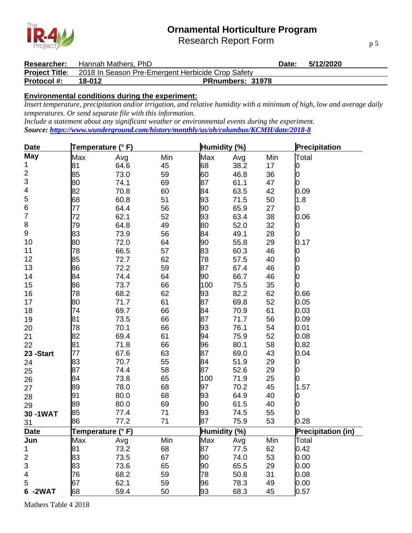Research Report Form



|                    | <b>Researcher:</b> Hannah Mathers, PhD |                                                                         | Date: | 5/12/2020 |
|--------------------|----------------------------------------|-------------------------------------------------------------------------|-------|-----------|
|                    |                                        | <b>Project Title:</b> 2018 In Season Pre-Emergent Herbicide Crop Safety |       |           |
| <b>Protocol #:</b> | 18-012                                 | <b>PRnumbers: 31978</b>                                                 |       |           |

### **Environmental conditions during the experiment:**

*Insert temperature, precipitation and/or irrigation, and relative humidity with a minimum of high, low and average daily temperatures. Or send separate file with this information.*

*Include a statement about any significant weather or environmental events during the experiment. Source:<https://www.wunderground.com/history/monthly/us/oh/columbus/KCMH/date/2018-8>*

| <b>Date</b>             | Temperature (°F) |      |     | Humidity (%) |      | Precipitation |                           |
|-------------------------|------------------|------|-----|--------------|------|---------------|---------------------------|
| <b>May</b>              | Max              | Avg  | Min | Max          | Avg  | Min           | Total                     |
| 1                       | 81               | 64.6 | 45  | 68           | 38.2 | 17            | 0                         |
| $\mathbf 2$             | 85               | 73.0 | 59  | 60           | 46.8 | 36            | 0                         |
| 3                       | 80               | 74.1 | 69  | 87           | 61.1 | 47            | 0                         |
| $\overline{\mathbf{4}}$ | 82               | 70.8 | 60  | 84           | 63.5 | 42            | 0.09                      |
| 5                       | 68               | 60.8 | 51  | 93           | 71.5 | 50            | 1.8                       |
| $\overline{6}$          | 77               | 64.4 | 56  | 90           | 65.9 | 27            | 0                         |
| $\overline{7}$          | 72               | 62.1 | 52  | 93           | 63.4 | 38            | 0.06                      |
| 8                       | 79               | 64.8 | 49  | 80           | 52.0 | 32            | 0                         |
| $\boldsymbol{9}$        | 83               | 73.9 | 56  | 84           | 49.1 | 28            | 0                         |
| 10                      | 80               | 72.0 | 64  | 90           | 55.8 | 29            | 0.17                      |
| 11                      | 78               | 66.5 | 57  | 83           | 60.3 | 46            | 0                         |
| 12                      | 85               | 72.7 | 62  | 78           | 57.5 | 40            | 0                         |
| 13                      | 86               | 72.2 | 59  | 87           | 67.4 | 46            |                           |
| 14                      | 84               | 74.4 | 64  | 90           | 66.7 | 46            | 0                         |
| 15                      | 86               | 73.7 | 66  | 100          | 75.5 | 35            |                           |
| 16                      | 78               | 68.2 | 62  | 93           | 82.2 | 62            | 0.66                      |
| 17                      | 80               | 71.7 | 61  | 87           | 69.8 | 52            | 0.05                      |
| 18                      | 74               | 69.7 | 66  | 84           | 70.9 | 61            | 0.03                      |
| 19                      | 81               | 73.5 | 66  | 87           | 71.7 | 56            | 0.09                      |
| 20                      | 78               | 70.1 | 66  | 93           | 76.1 | 54            | 0.01                      |
| 21                      | 82               | 69.4 | 61  | 94           | 75.9 | 52            | 0.08                      |
| 22                      | 81               | 71.8 | 66  | 96           | 80.1 | 58            | 0.82                      |
| 23 - Start              | 77               | 67.6 | 63  | 87           | 69.0 | 43            | 0.04                      |
| 24                      | 83               | 70.7 | 55  | 84           | 51.9 | 29            | 0                         |
| 25                      | 87               | 74.4 | 58  | 87           | 52.6 | 29            | 0                         |
| 26                      | 84               | 73.8 | 65  | 100          | 71.9 | 25            | 0                         |
| 27                      | 89               | 78.0 | 68  | 97           | 70.2 | 45            | 1.57                      |
| 28                      | 91               | 80.0 | 68  | 93           | 64.9 | 40            | 0                         |
| 29                      | 89               | 80.0 | 69  | 90           | 61.5 | 40            |                           |
| 30-1WAT                 | 85               | 77.4 | 71  | 93           | 74.5 | 55            |                           |
| 31                      | 86               | 77.2 | 71  | 87           | 75.9 | 53            | 0.28                      |
| <b>Date</b>             | Temperature (°F) |      |     | Humidity (%) |      |               | <b>Precipitation (in)</b> |
| Jun                     | Max              | Avg  | Min | Max          | Avg  | Min           | Total                     |
| 1                       | 81               | 73.2 | 68  | 87           | 77.5 | 62            | 0.42                      |
| $\overline{\mathbf{c}}$ | 83               | 73.5 | 67  | 90           | 74.0 | 53            | 0.00                      |
| 3                       | 83               | 73.6 | 65  | 90           | 65.5 | 29            | 0.00                      |
| 4                       | 76               | 68.2 | 59  | 78           | 50.8 | 31            | 0.08                      |
| 5                       | 67               | 62.1 | 59  | 96           | 78.3 | 49            | 0.00                      |
| 6-2WAT                  | 68               | 59.4 | 50  | 93           | 68.3 | 45            | 0.57                      |

Mathers Table 4 2018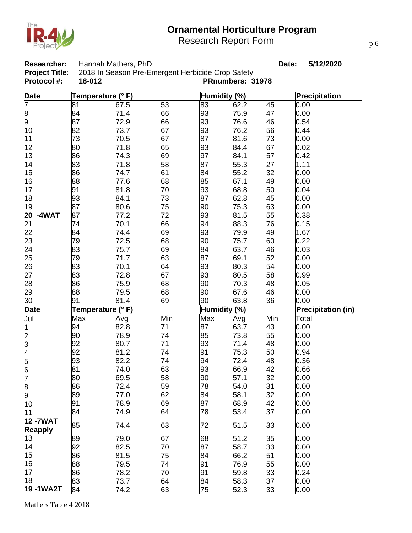



| Researcher:           |                   | Hannah Mathers, PhD                               |     |              |                  | Date:                | 5/12/2020                 |  |
|-----------------------|-------------------|---------------------------------------------------|-----|--------------|------------------|----------------------|---------------------------|--|
| <b>Project Title:</b> |                   | 2018 In Season Pre-Emergent Herbicide Crop Safety |     |              |                  |                      |                           |  |
| Protocol #:           | 18-012            |                                                   |     |              | PRnumbers: 31978 |                      |                           |  |
| <b>Date</b>           | Temperature (° F) |                                                   |     | Humidity (%) |                  | <b>Precipitation</b> |                           |  |
| $\overline{7}$        | 81                | 67.5                                              | 53  | 83           | 62.2             | 45                   | 0.00                      |  |
| 8                     | 84                | 71.4                                              | 66  | 93           | 75.9             | 47                   | 0.00                      |  |
| 9                     | 87                | 72.9                                              | 66  | 93           | 76.6             | 46                   | 0.54                      |  |
| 10                    | 82                | 73.7                                              | 67  | 93           | 76.2             | 56                   | 0.44                      |  |
| 11                    | 73                | 70.5                                              | 67  | 87           | 81.6             | 73                   | 0.00                      |  |
| 12                    | 80                | 71.8                                              | 65  | 93           | 84.4             | 67                   | 0.02                      |  |
| 13                    | 86                | 74.3                                              | 69  | 97           | 84.1             | 57                   | 0.42                      |  |
| 14                    | 83                | 71.8                                              | 58  | 87           | 55.3             | 27                   | 1.11                      |  |
| 15                    | 86                | 74.7                                              | 61  | 84           | 55.2             | 32                   | 0.00                      |  |
| 16                    | 88                | 77.6                                              | 68  | 85           | 67.1             | 49                   | 0.00                      |  |
| 17                    | 91                | 81.8                                              | 70  | 93           | 68.8             | 50                   | 0.04                      |  |
| 18                    | 93                | 84.1                                              | 73  | 87           | 62.8             | 45                   | 0.00                      |  |
| 19                    | 87                | 80.6                                              | 75  | 90           | 75.3             | 63                   | 0.00                      |  |
| 20 -4WAT              | 87                | 77.2                                              | 72  | 93           | 81.5             | 55                   | 0.38                      |  |
| 21                    | 74                | 70.1                                              | 66  | 94           | 88.3             | 76                   | 0.15                      |  |
| 22                    | 84                | 74.4                                              | 69  | 93           | 79.9             | 49                   | 1.67                      |  |
| 23                    | 79                | 72.5                                              | 68  | 90           | 75.7             | 60                   | 0.22                      |  |
| 24                    | 83                | 75.7                                              | 69  | 84           | 63.7             | 46                   | 0.03                      |  |
| 25                    | 79                | 71.7                                              | 63  | 87           | 69.1             | 52                   | 0.00                      |  |
| 26                    | 83                | 70.1                                              | 64  | 93           | 80.3             | 54                   | 0.00                      |  |
| 27                    | 83                | 72.8                                              | 67  | 93           | 80.5             | 58                   | 0.99                      |  |
| 28                    | 86                | 75.9                                              | 68  | 90           | 70.3             | 48                   | 0.05                      |  |
| 29                    | 88                | 79.5                                              | 68  | 90           | 67.6             | 46                   | 0.00                      |  |
| 30                    | 91                | 81.4                                              | 69  | 90           | 63.8             | 36                   | 0.00                      |  |
| <b>Date</b>           | Temperature (°F)  |                                                   |     | Humidity (%) |                  |                      | <b>Precipitation (in)</b> |  |
| Jul                   | Max               | Avg                                               | Min | Max          | Avg              | Min                  | Total                     |  |
| 1                     | 94                | 82.8                                              | 71  | 87           | 63.7             | 43                   | 0.00                      |  |
| $\frac{2}{3}$         | 90                | 78.9                                              | 74  | 85           | 73.8             | 55                   | 0.00                      |  |
|                       | 92                | 80.7                                              | 71  | 93           | 71.4             | 48                   | 0.00                      |  |
| 4                     | 92                | 81.2                                              | 74  | 91           | 75.3             | 50                   | 0.94                      |  |
| 5                     | 93                | 82.2                                              | 74  | 94           | 72.4             | 48                   | 0.36                      |  |
| 6                     | 81                | 74.0                                              | 63  | 93           | 66.9             | 42                   | 0.66                      |  |
| $\overline{7}$        | 80                | 69.5                                              | 58  | 90           | 57.1             | 32                   | 0.00                      |  |
| 8                     | 86                | 72.4                                              | 59  | 78           | 54.0             | 31                   | 0.00                      |  |
| 9                     | 89                | 77.0                                              | 62  | 84           | 58.1             | 32                   | 0.00                      |  |
| 10                    | 91                | 78.9                                              | 69  | 87           | 68.9             | 42                   | 0.00                      |  |
| 11                    | 84                | 74.9                                              | 64  | 78           | 53.4             | 37                   | 0.00                      |  |
| <b>12-7WAT</b>        | 85                | 74.4                                              | 63  | 72           | 51.5             | 33                   | 0.00                      |  |
| <b>Reapply</b>        |                   |                                                   |     |              |                  |                      |                           |  |
| 13                    | 89                | 79.0                                              | 67  | 68           | 51.2             | 35                   | 0.00                      |  |
| 14                    | 92                | 82.5                                              | 70  | 87           | 58.7             | 33                   | 0.00                      |  |
| 15                    | 86                | 81.5                                              | 75  | 84           | 66.2             | 51                   | 0.00                      |  |
| 16                    | 88                | 79.5                                              | 74  | 91           | 76.9             | 55                   | 0.00                      |  |
| 17                    | 86                | 78.2                                              | 70  | 91           | 59.8             | 33                   | 0.24                      |  |
| 18                    | 83                | 73.7                                              | 64  | 84           | 58.3             | 37                   | 0.00                      |  |
| 19-1WA2T              | 84                | 74.2                                              | 63  | 75           | 52.3             | 33                   | 0.00                      |  |